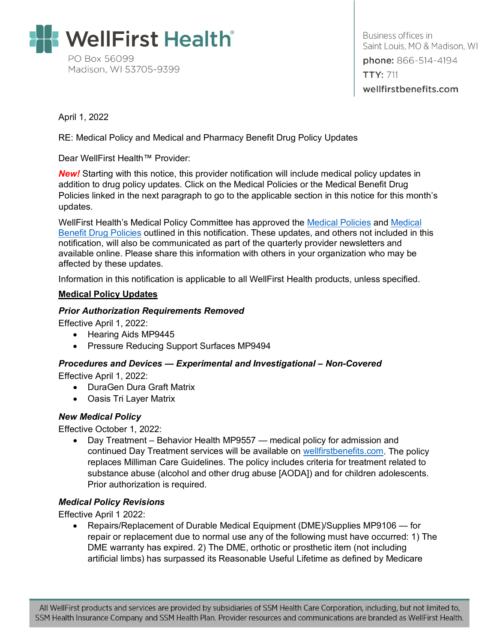

Business offices in Saint Louis, MO & Madison, WI phone: 866-514-4194 **TTY: 711** wellfirstbenefits.com

April 1, 2022

RE: Medical Policy and Medical and Pharmacy Benefit Drug Policy Updates

Dear WellFirst Health™ Provider:

**New!** Starting with this notice, this provider notification will include medical policy updates in addition to drug policy updates. Click on the Medical Policies or the Medical Benefit Drug Policies linked in the next paragraph to go to the applicable section in this notice for this month's updates.

WellFirst Health's Medical Policy Committee has approved the [Medical Policies](#page-0-0) and [Medical](#page-1-0)  [Benefit Drug Policies](#page-1-0) outlined in this notification. These updates, and others not included in this notification, will also be communicated as part of the quarterly provider newsletters and available online. Please share this information with others in your organization who may be affected by these updates.

Information in this notification is applicable to all WellFirst Health products, unless specified.

#### <span id="page-0-0"></span>**Medical Policy Updates**

#### *Prior Authorization Requirements Removed*

Effective April 1, 2022:

- Hearing Aids MP9445
- Pressure Reducing Support Surfaces MP9494

# *Procedures and Devices — Experimental and Investigational – Non-Covered*

Effective April 1, 2022:

- DuraGen Dura Graft Matrix
- Oasis Tri Layer Matrix

### *New Medical Policy*

Effective October 1, 2022:

• Day Treatment – Behavior Health MP9557 — medical policy for admission and continued Day Treatment services will be available on [wellfirstbenefits.com.](https://wellfirstbenefits.com/Providers) The policy replaces Milliman Care Guidelines. The policy includes criteria for treatment related to substance abuse (alcohol and other drug abuse [AODA]) and for children adolescents. Prior authorization is required.

### *Medical Policy Revisions*

Effective April 1 2022:

• Repairs/Replacement of Durable Medical Equipment (DME)/Supplies MP9106 — for repair or replacement due to normal use any of the following must have occurred: 1) The DME warranty has expired. 2) The DME, orthotic or prosthetic item (not including artificial limbs) has surpassed its Reasonable Useful Lifetime as defined by Medicare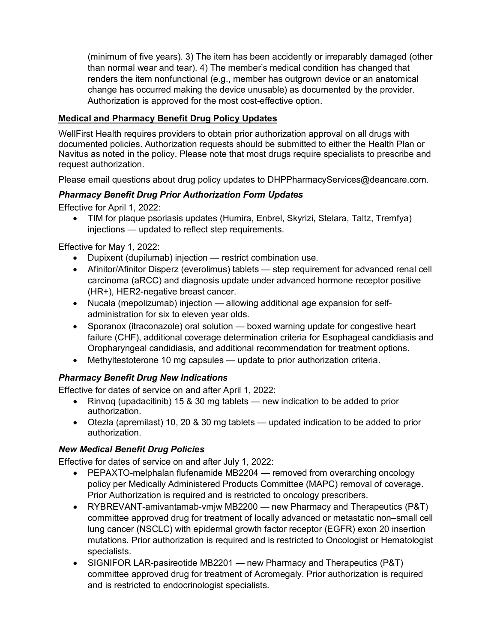(minimum of five years). 3) The item has been accidently or irreparably damaged (other than normal wear and tear). 4) The member's medical condition has changed that renders the item nonfunctional (e.g., member has outgrown device or an anatomical change has occurred making the device unusable) as documented by the provider. Authorization is approved for the most cost-effective option.

### <span id="page-1-0"></span>**Medical and Pharmacy Benefit Drug Policy Updates**

WellFirst Health requires providers to obtain prior authorization approval on all drugs with documented policies. Authorization requests should be submitted to either the Health Plan or Navitus as noted in the policy. Please note that most drugs require specialists to prescribe and request authorization.

Please email questions about drug policy updates to DHPPharmacyServices@deancare.com.

### *Pharmacy Benefit Drug Prior Authorization Form Updates*

Effective for April 1, 2022:

• TIM for plaque psoriasis updates (Humira, Enbrel, Skyrizi, Stelara, Taltz, Tremfya) injections — updated to reflect step requirements.

Effective for May 1, 2022:

- Dupixent (dupilumab) injection restrict combination use.
- Afinitor/Afinitor Disperz (everolimus) tablets step requirement for advanced renal cell carcinoma (aRCC) and diagnosis update under advanced hormone receptor positive (HR+), HER2-negative breast cancer.
- Nucala (mepolizumab) injection allowing additional age expansion for selfadministration for six to eleven year olds.
- Sporanox (itraconazole) oral solution boxed warning update for congestive heart failure (CHF), additional coverage determination criteria for Esophageal candidiasis and Oropharyngeal candidiasis, and additional recommendation for treatment options.
- Methyltestoterone 10 mg capsules update to prior authorization criteria.

# *Pharmacy Benefit Drug New Indications*

Effective for dates of service on and after April 1, 2022:

- Rinvoq (upadacitinib) 15 & 30 mg tablets new indication to be added to prior authorization.
- Otezla (apremilast) 10, 20 & 30 mg tablets updated indication to be added to prior authorization.

### *New Medical Benefit Drug Policies*

Effective for dates of service on and after July 1, 2022:

- PEPAXTO-melphalan flufenamide MB2204 removed from overarching oncology policy per Medically Administered Products Committee (MAPC) removal of coverage. Prior Authorization is required and is restricted to oncology prescribers.
- RYBREVANT-amivantamab‐vmjw MB2200 new Pharmacy and Therapeutics (P&T) committee approved drug for treatment of locally advanced or metastatic non–small cell lung cancer (NSCLC) with epidermal growth factor receptor (EGFR) exon 20 insertion mutations. Prior authorization is required and is restricted to Oncologist or Hematologist specialists.
- SIGNIFOR LAR-pasireotide MB2201 new Pharmacy and Therapeutics (P&T) committee approved drug for treatment of Acromegaly. Prior authorization is required and is restricted to endocrinologist specialists.